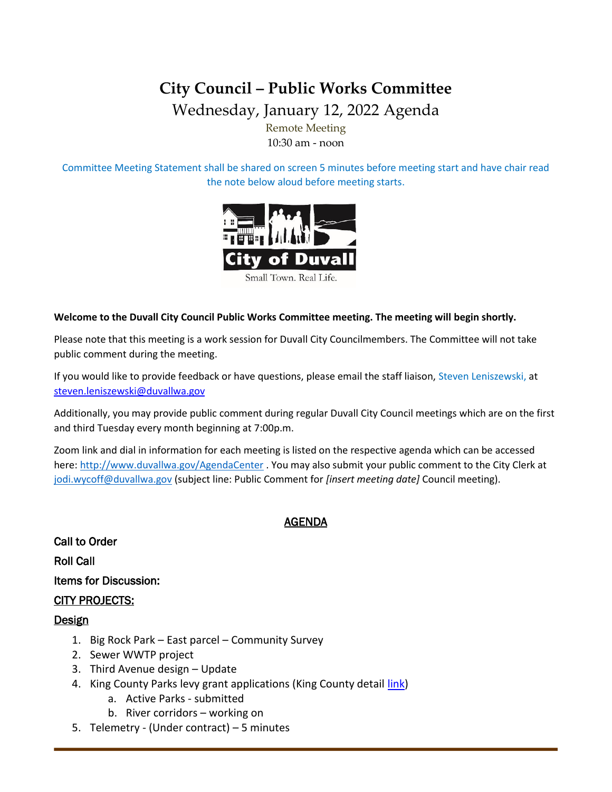# **City Council – Public Works Committee**

Wednesday, January 12, 2022 Agenda

Remote Meeting 10:30 am - noon

Committee Meeting Statement shall be shared on screen 5 minutes before meeting start and have chair read the note below aloud before meeting starts.



#### **Welcome to the Duvall City Council Public Works Committee meeting. The meeting will begin shortly.**

Please note that this meeting is a work session for Duvall City Councilmembers. The Committee will not take public comment during the meeting.

If you would like to provide feedback or have questions, please email the staff liaison, Steven Leniszewski, at [steven.leniszewski@duvallwa.gov](mailto:steven.leniszewski@duvallwa.gov)

Additionally, you may provide public comment during regular Duvall City Council meetings which are on the first and third Tuesday every month beginning at 7:00p.m.

Zoom link and dial in information for each meeting is listed on the respective agenda which can be accessed here:<http://www.duvallwa.gov/AgendaCenter> . You may also submit your public comment to the City Clerk at [jodi.wycoff@duvallwa.gov](mailto:jodi.wycoff@duvallwa.gov) (subject line: Public Comment for *[insert meeting date]* Council meeting).

#### AGENDA

Call to Order Roll Call Items for Discussion: CITY PROJECTS: Design

- 1. Big Rock Park East parcel Community Survey
- 2. Sewer WWTP project
- 3. Third Avenue design Update
- 4. King County Parks levy grant applications (King County detail [link\)](https://kingcounty.gov/services/parks-recreation/parks/get-involved/partnerships-and-grants/levygrants.aspx)
	- a. Active Parks submitted
	- b. River corridors working on
- 5. Telemetry (Under contract) 5 minutes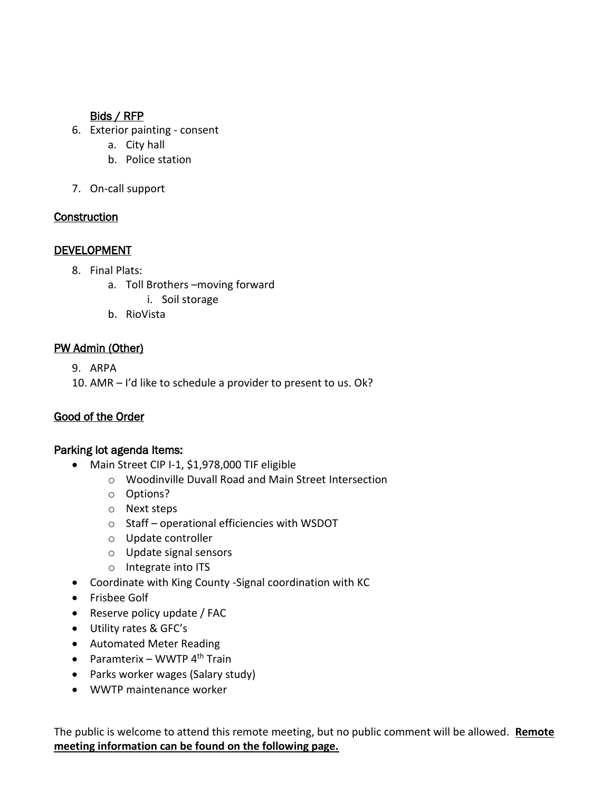### Bids / RFP

- 6. Exterior painting consent
	- a. City hall
	- b. Police station
- 7. On-call support

#### **Construction**

#### **DEVELOPMENT**

- 8. Final Plats:
	- a. Toll Brothers –moving forward
		- i. Soil storage
	- b. RioVista

# PW Admin (Other)

9. ARPA

10. AMR – I'd like to schedule a provider to present to us. Ok?

# Good of the Order

#### Parking lot agenda Items:

- Main Street CIP I-1, \$1,978,000 TIF eligible
	- o Woodinville Duvall Road and Main Street Intersection
	- o Options?
	- o Next steps
	- o Staff operational efficiencies with WSDOT
	- o Update controller
	- o Update signal sensors
	- o Integrate into ITS
- Coordinate with King County -Signal coordination with KC
- Frisbee Golf
- Reserve policy update / FAC
- Utility rates & GFC's
- Automated Meter Reading
- Paramterix WWTP  $4<sup>th</sup>$  Train
- Parks worker wages (Salary study)
- WWTP maintenance worker

The public is welcome to attend this remote meeting, but no public comment will be allowed. **Remote meeting information can be found on the following page.**